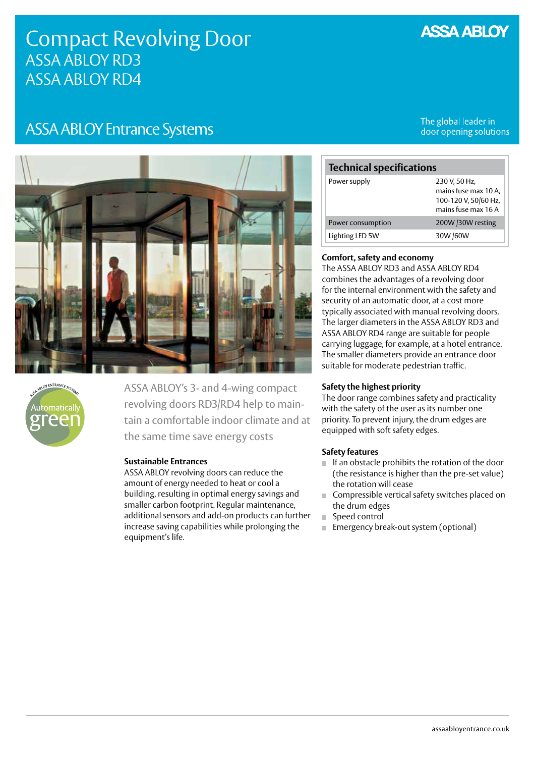### **ASSA ABLOY**

## Compact Revolving Door ASSA ABLOY RD3 ASSA ABLOY RD4

### **ASSA ABLOY Entrance Systems**

The global leader in door opening solutions





ASSA ABLOY's 3- and 4-wing compact revolving doors RD3/RD4 help to maintain a comfortable indoor climate and at the same time save energy costs

#### **Sustainable Entrances**

ASSA ABLOY revolving doors can reduce the amount of energy needed to heat or cool a building, resulting in optimal energy savings and smaller carbon footprint. Regular maintenance, additional sensors and add-on products can further increase saving capabilities while prolonging the equipment's life.

# **Technical specifications**

| Power supply      | 230 V. 50 Hz.        |
|-------------------|----------------------|
|                   | mains fuse max 10 A, |
|                   | 100-120 V, 50/60 Hz, |
|                   | mains fuse max 16 A  |
| Power consumption | 200W /30W resting    |
| Lighting LED 5W   | 30W /60W             |

#### **Comfort, safety and economy**

The ASSA ABLOY RD3 and ASSA ABLOY RD4 combines the advantages of a revolving door for the internal environment with the safety and security of an automatic door, at a cost more typically associated with manual revolving doors. The larger diameters in the ASSA ABLOY RD3 and ASSA ABLOY RD4 range are suitable for people carrying luggage, for example, at a hotel entrance. The smaller diameters provide an entrance door suitable for moderate pedestrian traffic.

#### **Safety the highest priority**

The door range combines safety and practicality with the safety of the user as its number one priority. To prevent injury, the drum edges are equipped with soft safety edges.

#### **Safety features**

- $\blacksquare$  If an obstacle prohibits the rotation of the door (the resistance is higher than the pre-set value) the rotation will cease
- Compressible vertical safety switches placed on the drum edges
- Speed control
- **Emergency break-out system (optional)**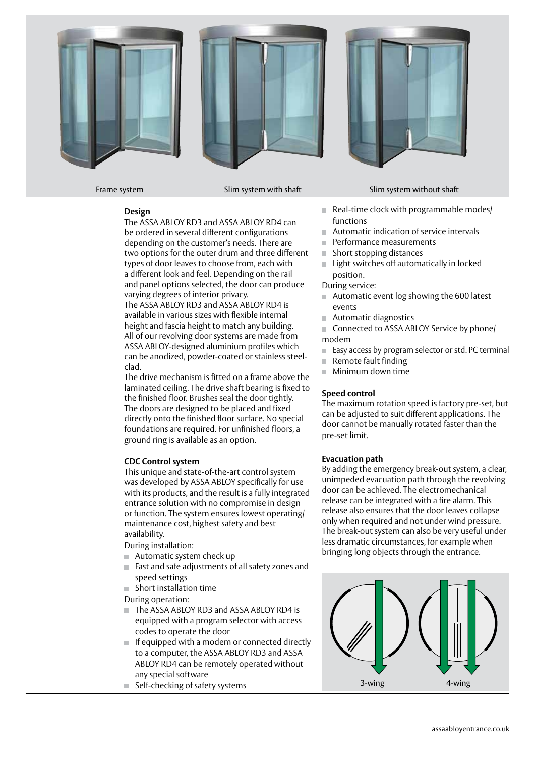





The ASSA ABLOY RD3 and ASSA ABLOY RD4 can be ordered in several different configurations depending on the customer's needs. There are two options for the outer drum and three different types of door leaves to choose from, each with a different look and feel. Depending on the rail and panel options selected, the door can produce varying degrees of interior privacy.

The ASSA ABLOY RD3 and ASSA ABLOY RD4 is available in various sizes with flexible internal height and fascia height to match any building. All of our revolving door systems are made from ASSA ABLOY-designed aluminium profiles which can be anodized, powder-coated or stainless steelclad.

The drive mechanism is fitted on a frame above the laminated ceiling. The drive shaft bearing is fixed to the finished floor. Brushes seal the door tightly. The doors are designed to be placed and fixed directly onto the finished floor surface. No special foundations are required. For unfinished floors, a ground ring is available as an option.

#### **CDC Control system**

This unique and state-of-the-art control system was developed by ASSA ABLOY specifically for use with its products, and the result is a fully integrated entrance solution with no compromise in design or function. The system ensures lowest operating/ maintenance cost, highest safety and best availability.

During installation:

- Automatic system check up
- Fast and safe adjustments of all safety zones and speed settings
- Short installation time

During operation:

- The ASSA ABLOY RD3 and ASSA ABLOY RD4 is equipped with a program selector with access codes to operate the door
- $\blacksquare$  If equipped with a modem or connected directly to a computer, the ASSA ABLOY RD3 and ASSA ABLOY RD4 can be remotely operated without any special software
- Self-checking of safety systems



Frame system Slim system with shaft Slim system with shaft Slim system without shaft

- Real-time clock with programmable modes/ functions
- Automatic indication of service intervals
- **Performance measurements**
- Short stopping distances
- Light switches off automatically in locked position.
- During service:
- Automatic event log showing the 600 latest events
- Automatic diagnostics
- Connected to ASSA ABLOY Service by phone/ modem
- Easy access by program selector or std. PC terminal
- $\blacksquare$  Remote fault finding
- **Minimum down time**

#### **Speed control**

The maximum rotation speed is factory pre-set, but can be adjusted to suit different applications. The door cannot be manually rotated faster than the pre-set limit.

#### **Evacuation path**

By adding the emergency break-out system, a clear, unimpeded evacuation path through the revolving door can be achieved. The electromechanical release can be integrated with a fire alarm. This release also ensures that the door leaves collapse only when required and not under wind pressure. The break-out system can also be very useful under less dramatic circumstances, for example when bringing long objects through the entrance.

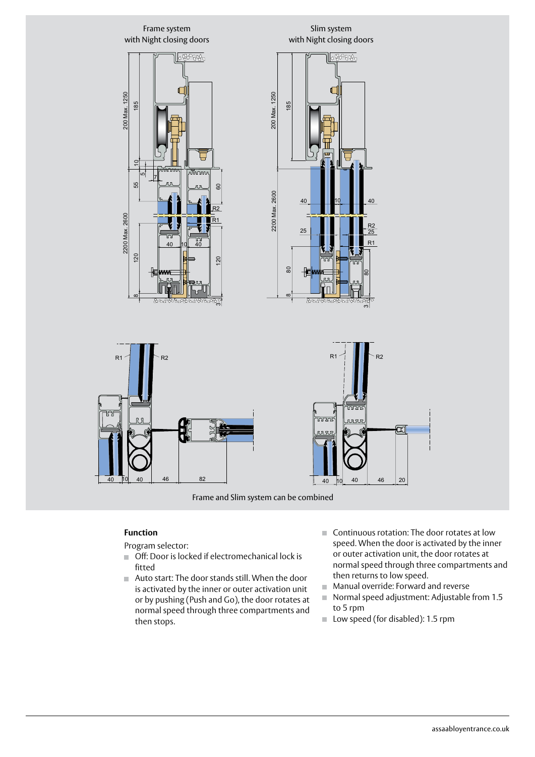

Frame and Slim system can be combined

#### **Function**

Program selector:

- $\Box$  Off: Door is locked if electromechanical lock is fitted
- Auto start: The door stands still. When the door is activated by the inner or outer activation unit or by pushing (Push and Go), the door rotates at normal speed through three compartments and then stops.
- Continuous rotation: The door rotates at low speed. When the door is activated by the inner or outer activation unit, the door rotates at normal speed through three compartments and then returns to low speed.
- **Manual override: Forward and reverse**
- Normal speed adjustment: Adjustable from 1.5 to 5 rpm
- $\Box$  Low speed (for disabled): 1.5 rpm